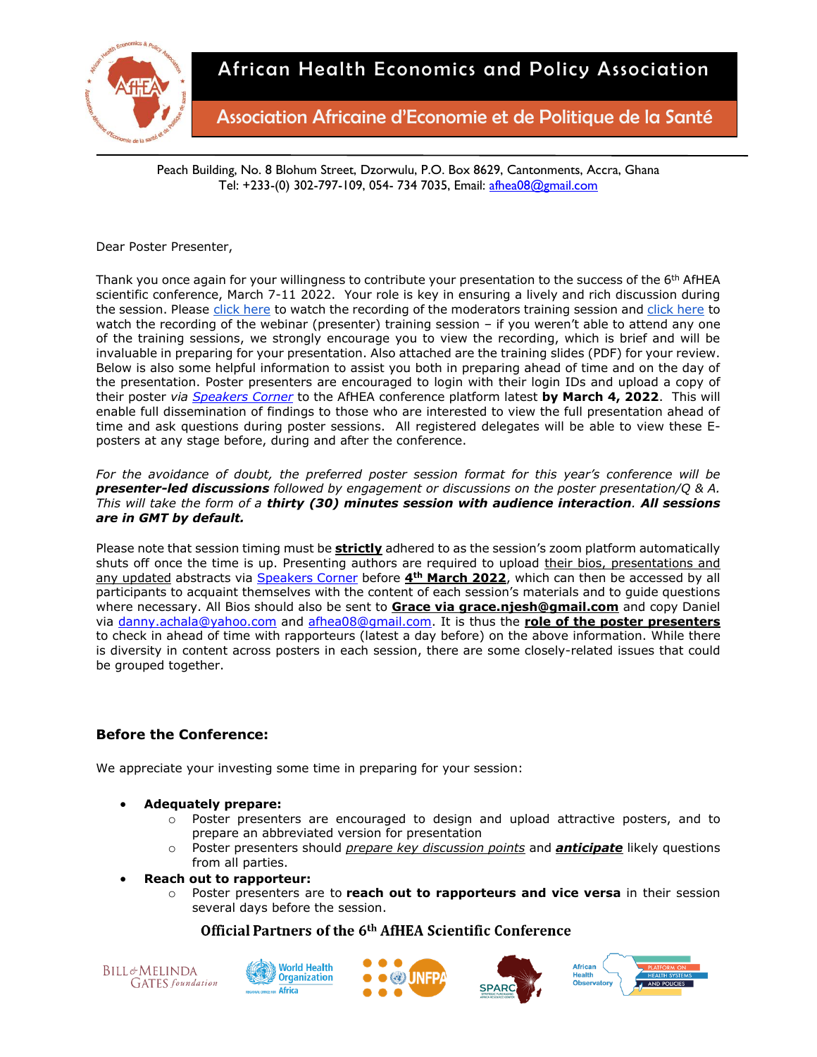

Association Africaine d'Economie et de Politique de la Santé

Peach Building, No. 8 Blohum Street, Dzorwulu, P.O. Box 8629, Cantonments, Accra, Ghana Tel: +233-(0) 302-797-109, 054- 734 7035, Email: [afhea08@gmail.com](mailto:afhea08@gmail.com)

Dear Poster Presenter,

Thank you once again for your willingness to contribute your presentation to the success of the 6<sup>th</sup> AfHEA scientific conference, March 7-11 2022. Your role is key in ensuring a lively and rich discussion during the session. Please [click here](https://zoom.us/rec/play/8N6QWp0CrvDQJ-Z2foMIBbDq4CZWH4PbH626c4mqKqchSCOQFqAUcPIsXzIpdzQGAzbVryfQYWDc-znl.tSr1LT4wFNVTERYI?autoplay=true) to watch the recording of the moderators training session and [click here](https://confex-1.zoom.us/rec/play/nqusWfjJZbWeEkiyG3jHXaWL61RbPjQQRfVizK9h9apwkplYqaTe7tjawG84-gx6HJo7lsEFWNdKZEHE.e5nE33V8ayppyWvH) to watch the recording of the webinar (presenter) training session – if you weren't able to attend any one of the training sessions, we strongly encourage you to view the recording, which is brief and will be invaluable in preparing for your presentation. Also attached are the training slides (PDF) for your review. Below is also some helpful information to assist you both in preparing ahead of time and on the day of the presentation. Poster presenters are encouraged to login with their login IDs and upload a copy of their poster *via [Speakers Corner](Speakers%20Corner:%20https:/afhea.confex.com/afhea/2022/abstractsen/extra/index.cgi?EntryType=Paper&username=1626&password=*cookie)* to the AfHEA conference platform latest **by March 4, 2022**. This will enable full dissemination of findings to those who are interested to view the full presentation ahead of time and ask questions during poster sessions. All registered delegates will be able to view these Eposters at any stage before, during and after the conference.

*For the avoidance of doubt, the preferred poster session format for this year's conference will be presenter-led discussions followed by engagement or discussions on the poster presentation/Q & A. This will take the form of a thirty (30) minutes session with audience interaction. All sessions are in GMT by default.*

Please note that session timing must be **strictly** adhered to as the session's zoom platform automatically shuts off once the time is up. Presenting authors are required to upload their bios, presentations and any updated abstracts via [Speakers Corner](Speakers%20Corner:%20https:/afhea.confex.com/afhea/2022/abstractsen/extra/index.cgi?EntryType=Paper&username=1626&password=*cookie) before **4th March 2022**, which can then be accessed by all participants to acquaint themselves with the content of each session's materials and to guide questions where necessary. All Bios should also be sent to **Grace via grace.njesh@gmail.com** and copy Daniel via [danny.achala@yahoo.com](mailto:danny.achala@yahoo.com) and [afhea08@gmail.com.](mailto:afhea08@gmail.com) It is thus the **role of the poster presenters**  to check in ahead of time with rapporteurs (latest a day before) on the above information. While there is diversity in content across posters in each session, there are some closely-related issues that could be grouped together.

# **Before the Conference:**

We appreciate your investing some time in preparing for your session:

- **Adequately prepare:**
	- $\circ$  Poster presenters are encouraged to design and upload attractive posters, and to prepare an abbreviated version for presentation
	- o Poster presenters should *prepare key discussion points* and *anticipate* likely questions from all parties.
- **Reach out to rapporteur:**
	- o Poster presenters are to **reach out to rapporteurs and vice versa** in their session several days before the session.









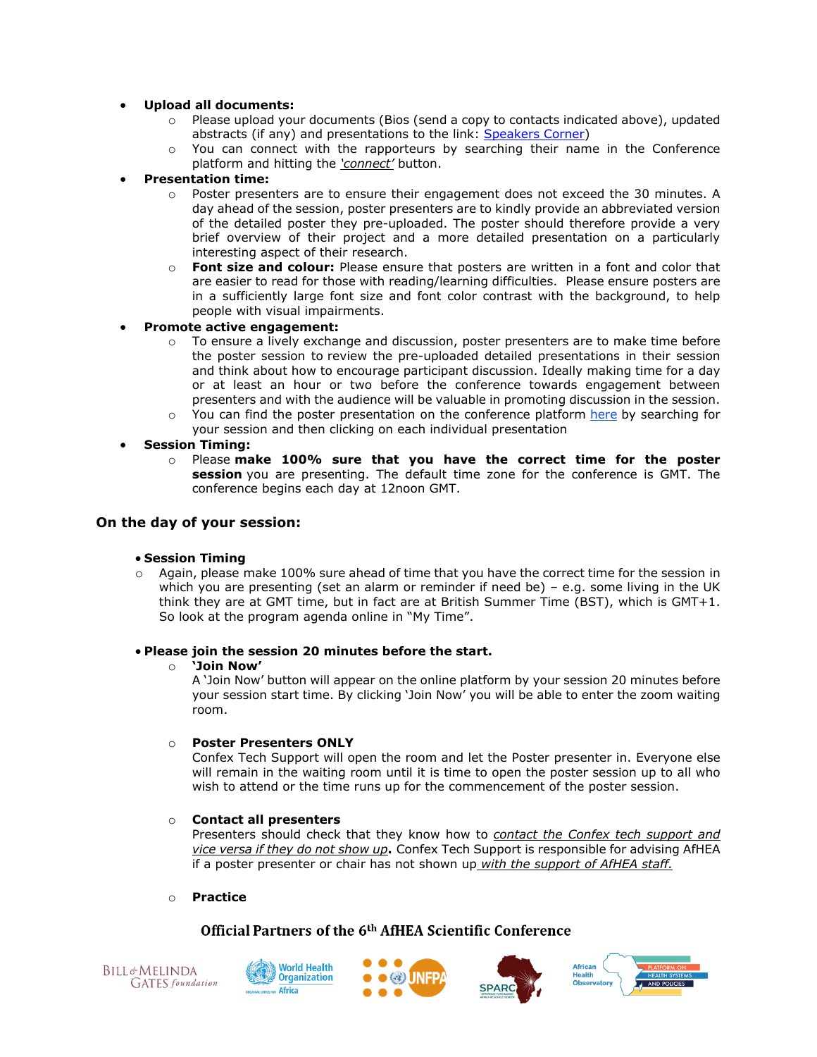## • **Upload all documents:**

- o Please upload your documents (Bios (send a copy to contacts indicated above), updated abstracts (if any) and presentations to the link: [Speakers Corner\)](Speakers%20Corner:%20https:/afhea.confex.com/afhea/2022/abstractsen/extra/index.cgi?EntryType=Paper&username=1626&password=*cookie)
- $\circ$  You can connect with the rapporteurs by searching their name in the Conference platform and hitting the *'connect'* button.

## • **Presentation time:**

- $\circ$  Poster presenters are to ensure their engagement does not exceed the 30 minutes. A day ahead of the session, poster presenters are to kindly provide an abbreviated version of the detailed poster they pre-uploaded. The poster should therefore provide a very brief overview of their project and a more detailed presentation on a particularly interesting aspect of their research.
- o **Font size and colour:** Please ensure that posters are written in a font and color that are easier to read for those with reading/learning difficulties. Please ensure posters are in a sufficiently large font size and font color contrast with the background, to help people with visual impairments.

## • **Promote active engagement:**

- $\circ$  To ensure a lively exchange and discussion, poster presenters are to make time before the poster session to review the pre-uploaded detailed presentations in their session and think about how to encourage participant discussion. Ideally making time for a day or at least an hour or two before the conference towards engagement between presenters and with the audience will be valuable in promoting discussion in the session.
- $\circ$  You can find the poster presentation on the conference platform [here](https://afhea.confex.com/afhea/2022/meetingapp.cgi/Home/0) by searching for your session and then clicking on each individual presentation
- **Session Timing:**
	- o Please **make 100% sure that you have the correct time for the poster session** you are presenting. The default time zone for the conference is GMT. The conference begins each day at 12noon GMT.

## **On the day of your session:**

## • **Session Timing**

Again, please make 100% sure ahead of time that you have the correct time for the session in which you are presenting (set an alarm or reminder if need be) – e.g. some living in the UK think they are at GMT time, but in fact are at British Summer Time (BST), which is GMT+1. So look at the program agenda online in "My Time".

## • **Please join the session 20 minutes before the start.**

#### o **'Join Now'**

A 'Join Now' button will appear on the online platform by your session 20 minutes before your session start time. By clicking 'Join Now' you will be able to enter the zoom waiting room.

## o **Poster Presenters ONLY**

Confex Tech Support will open the room and let the Poster presenter in. Everyone else will remain in the waiting room until it is time to open the poster session up to all who wish to attend or the time runs up for the commencement of the poster session.

## o **Contact all presenters**

Presenters should check that they know how to *contact the Confex tech support and vice versa if they do not show up***.** Confex Tech Support is responsible for advising AfHEA if a poster presenter or chair has not shown up *with the support of AfHEA staff.*

## o **Practice**









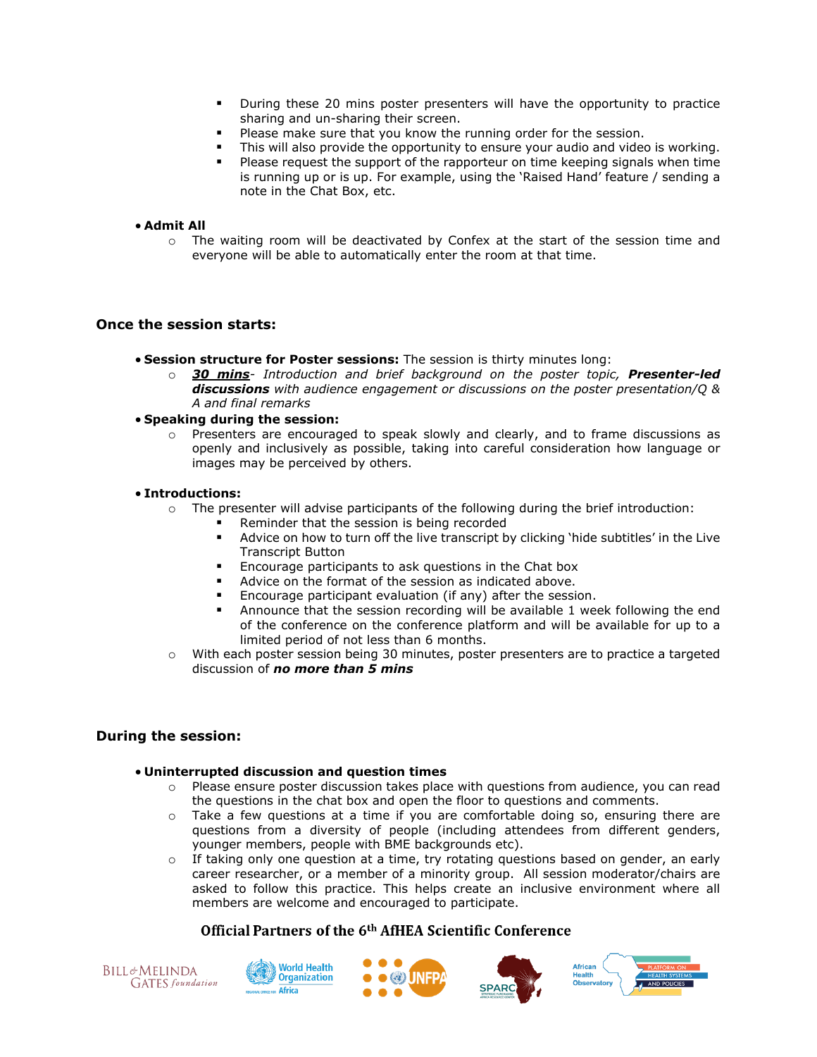- During these 20 mins poster presenters will have the opportunity to practice sharing and un-sharing their screen.
- Please make sure that you know the running order for the session.
- This will also provide the opportunity to ensure your audio and video is working.
- Please request the support of the rapporteur on time keeping signals when time is running up or is up. For example, using the 'Raised Hand' feature / sending a note in the Chat Box, etc.

#### • **Admit All**

 $\circ$  The waiting room will be deactivated by Confex at the start of the session time and everyone will be able to automatically enter the room at that time.

## **Once the session starts:**

- **Session structure for Poster sessions:** The session is thirty minutes long:
	- o *30 mins- Introduction and brief background on the poster topic, Presenter-led discussions with audience engagement or discussions on the poster presentation/Q & A and final remarks*

#### • **Speaking during the session:**

o Presenters are encouraged to speak slowly and clearly, and to frame discussions as openly and inclusively as possible, taking into careful consideration how language or images may be perceived by others.

#### • **Introductions:**

- $\circ$  The presenter will advise participants of the following during the brief introduction:
	- Reminder that the session is being recorded
	- Advice on how to turn off the live transcript by clicking 'hide subtitles' in the Live Transcript Button
	- Encourage participants to ask questions in the Chat box
	- Advice on the format of the session as indicated above.
	- Encourage participant evaluation (if any) after the session.
	- Announce that the session recording will be available 1 week following the end of the conference on the conference platform and will be available for up to a limited period of not less than 6 months.
- o With each poster session being 30 minutes, poster presenters are to practice a targeted discussion of *no more than 5 mins*

## **During the session:**

#### • **Uninterrupted discussion and question times**

- $\circ$  Please ensure poster discussion takes place with questions from audience, you can read the questions in the chat box and open the floor to questions and comments.
- o Take a few questions at a time if you are comfortable doing so, ensuring there are questions from a diversity of people (including attendees from different genders, younger members, people with BME backgrounds etc).
- $\circ$  If taking only one question at a time, try rotating questions based on gender, an early career researcher, or a member of a minority group. All session moderator/chairs are asked to follow this practice. This helps create an inclusive environment where all members are welcome and encouraged to participate.